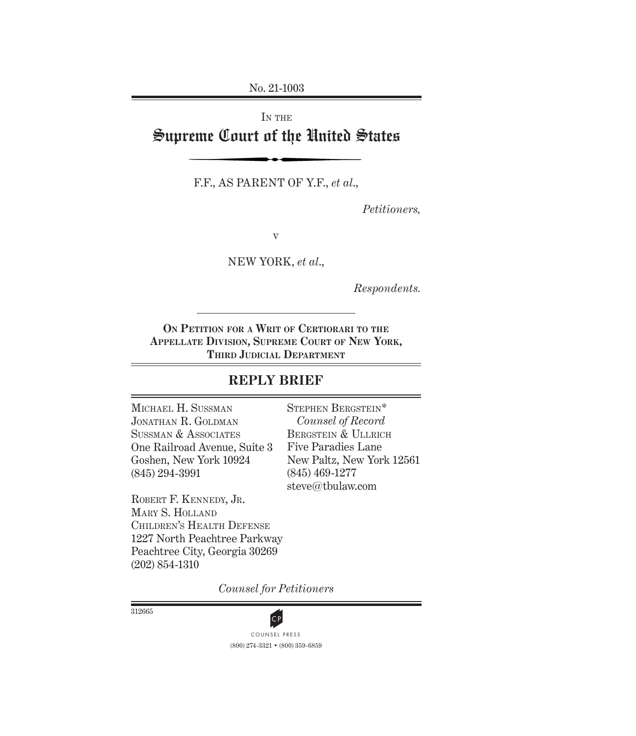No. 21-1003

# IN THE Supreme Court of the United States

F.F., AS PARENT OF Y.F., *et al*.,

*Petitioners,*

v

NEW YORK, *et al*.,

*Respondents.*

**On Petition for a Writ of Certiorari to the Appellate Division, Supreme Court of New York, THIRD JUDICIAL DEPARTMENT** 

# **REPLY BRIEF**

Michael H. Sussman Jonathan R. Goldman Sussman & Associates One Railroad Avenue, Suite 3 Goshen, New York 10924 (845) 294-3991

Stephen Bergstein\* *Counsel of Record* BERGSTEIN & ULLRICH Five Paradies Lane New Paltz, New York 12561 (845) 469-1277 steve@tbulaw.com

Robert F. Kennedy, Jr. Mary S. Holland Children's Health Defense 1227 North Peachtree Parkway Peachtree City, Georgia 30269 (202) 854-1310

*Counsel for Petitioners*

312665



(800) 274-3321 • (800) 359-6859 **CP**<br>COUNSEL PRESS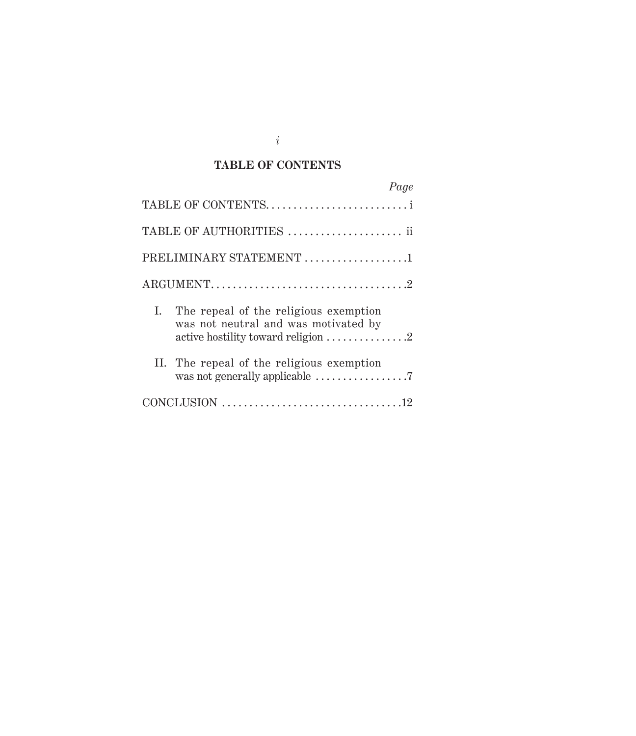#### **TABLE OF CONTENTS**

| Page                                                                                                                                                |
|-----------------------------------------------------------------------------------------------------------------------------------------------------|
| TABLE OF CONTENTS                                                                                                                                   |
| TABLE OF AUTHORITIES  ii                                                                                                                            |
| PRELIMINARY STATEMENT 1                                                                                                                             |
|                                                                                                                                                     |
| The repeal of the religious exemption<br>I.<br>was not neutral and was motivated by<br>active hostility toward religion $\dots \dots \dots \dots 2$ |
| II. The repeal of the religious exemption                                                                                                           |
|                                                                                                                                                     |

*i*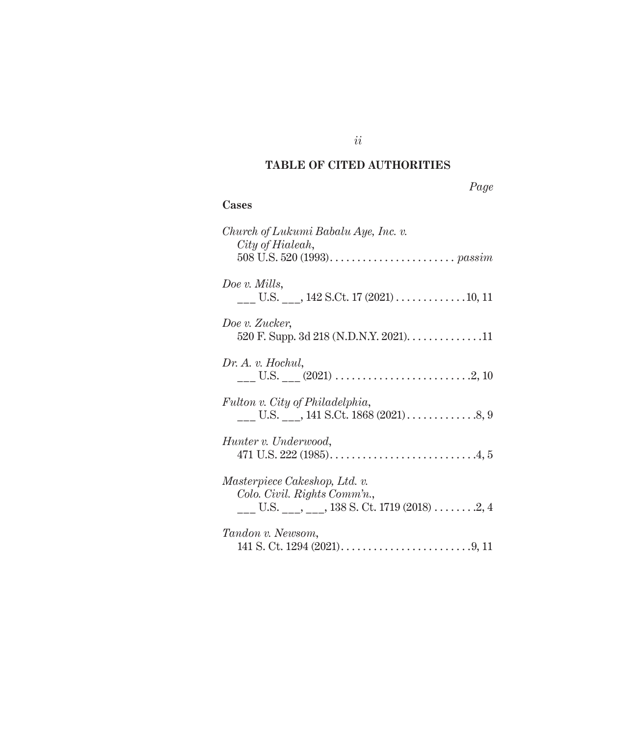## **TABLE OF CITED AUTHORITIES**

| ,,,, |
|------|
|------|

### **Cases**

| Church of Lukumi Babalu Aye, Inc. v.<br>City of Hialeah,                                                    |
|-------------------------------------------------------------------------------------------------------------|
| Doe v. Mills,                                                                                               |
| Doe v. Zucker,<br>520 F. Supp. 3d 218 (N.D.N.Y. 2021). 11                                                   |
| Dr. A. v. Hochul,                                                                                           |
| Fulton v. City of Philadelphia,                                                                             |
| Hunter v. Underwood,<br>471 U.S. 222 (1985). $\dots$ . $\dots$ . $\dots$ . $\dots$ . $4,5$                  |
| Masterpiece Cakeshop, Ltd. v.<br>Colo. Civil. Rights Comm'n.,<br>U.S. ___, ___, 138 S. Ct. 1719 (2018) 2, 4 |
| Tandon v. Newsom,                                                                                           |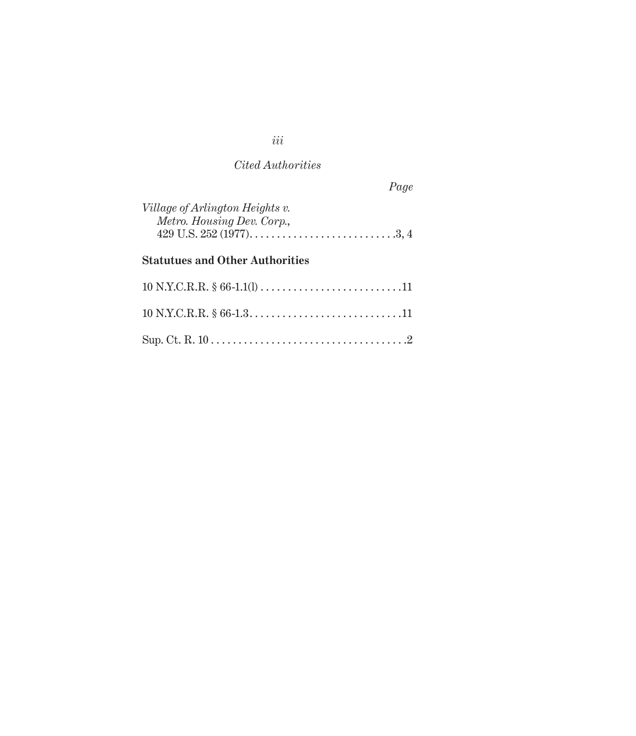### *Cited Authorities*

*Page*

| Village of Arlington Heights v.                                     |  |
|---------------------------------------------------------------------|--|
| Metro. Housing Dev. Corp.,                                          |  |
| 429 U.S. 252 (1977). $\dots$ . $\dots$ . $\dots$ . $\dots$ . $3, 4$ |  |

# **Statutues and Other Authorities**

*iii*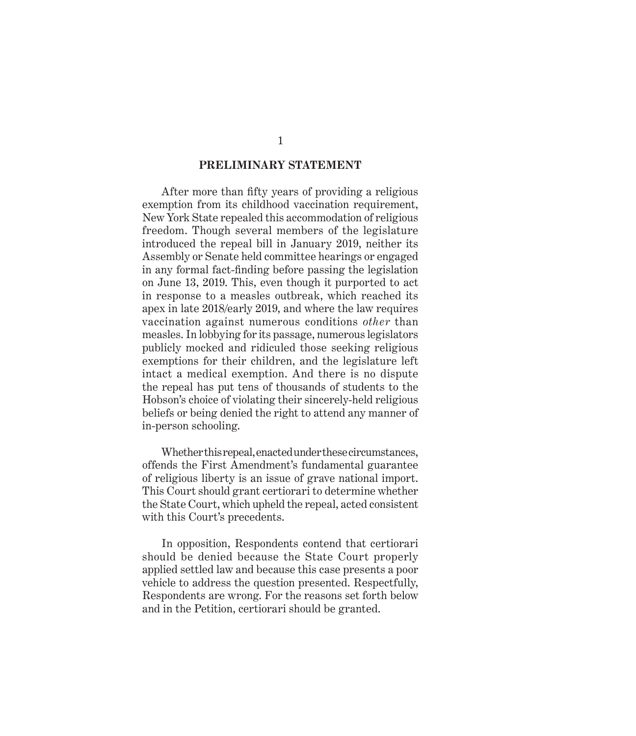#### **PRELIMINARY STATEMENT**

After more than fifty years of providing a religious exemption from its childhood vaccination requirement, New York State repealed this accommodation of religious freedom. Though several members of the legislature introduced the repeal bill in January 2019, neither its Assembly or Senate held committee hearings or engaged in any formal fact-finding before passing the legislation on June 13, 2019. This, even though it purported to act in response to a measles outbreak, which reached its apex in late 2018/early 2019, and where the law requires vaccination against numerous conditions *other* than measles. In lobbying for its passage, numerous legislators publicly mocked and ridiculed those seeking religious exemptions for their children, and the legislature left intact a medical exemption. And there is no dispute the repeal has put tens of thousands of students to the Hobson's choice of violating their sincerely-held religious beliefs or being denied the right to attend any manner of in-person schooling.

Whether this repeal, enacted under these circumstances, offends the First Amendment's fundamental guarantee of religious liberty is an issue of grave national import. This Court should grant certiorari to determine whether the State Court, which upheld the repeal, acted consistent with this Court's precedents.

In opposition, Respondents contend that certiorari should be denied because the State Court properly applied settled law and because this case presents a poor vehicle to address the question presented. Respectfully, Respondents are wrong. For the reasons set forth below and in the Petition, certiorari should be granted.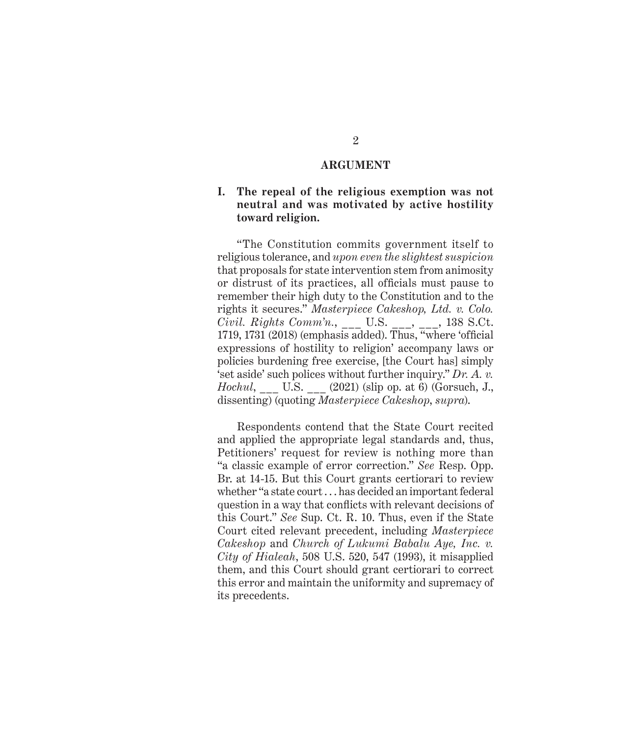### **ARGUMENT**

#### **I. The repeal of the religious exemption was not neutral and was motivated by active hostility toward religion.**

"The Constitution commits government itself to religious tolerance, and *upon even the slightest suspicion* that proposals for state intervention stem from animosity or distrust of its practices, all officials must pause to remember their high duty to the Constitution and to the rights it secures." *Masterpiece Cakeshop, Ltd. v. Colo. Civil. Rights Comm'n.*, \_\_\_ U.S. \_\_\_, \_\_\_, 138 S.Ct. 1719, 1731 (2018) (emphasis added). Thus, "where 'official expressions of hostility to religion' accompany laws or policies burdening free exercise, [the Court has] simply 'set aside' such polices without further inquiry." *Dr. A. v. Hochul*, \_\_\_ U.S. \_\_\_ (2021) (slip op. at 6) (Gorsuch, J., dissenting) (quoting *Masterpiece Cakeshop*, *supra*).

Respondents contend that the State Court recited and applied the appropriate legal standards and, thus, Petitioners' request for review is nothing more than "a classic example of error correction." *See* Resp. Opp. Br. at 14-15. But this Court grants certiorari to review whether "a state court . . . has decided an important federal question in a way that conflicts with relevant decisions of this Court." *See* Sup. Ct. R. 10. Thus, even if the State Court cited relevant precedent, including *Masterpiece Cakeshop* and *Church of Lukumi Babalu Aye, Inc. v. City of Hialeah*, 508 U.S. 520, 547 (1993), it misapplied them, and this Court should grant certiorari to correct this error and maintain the uniformity and supremacy of its precedents.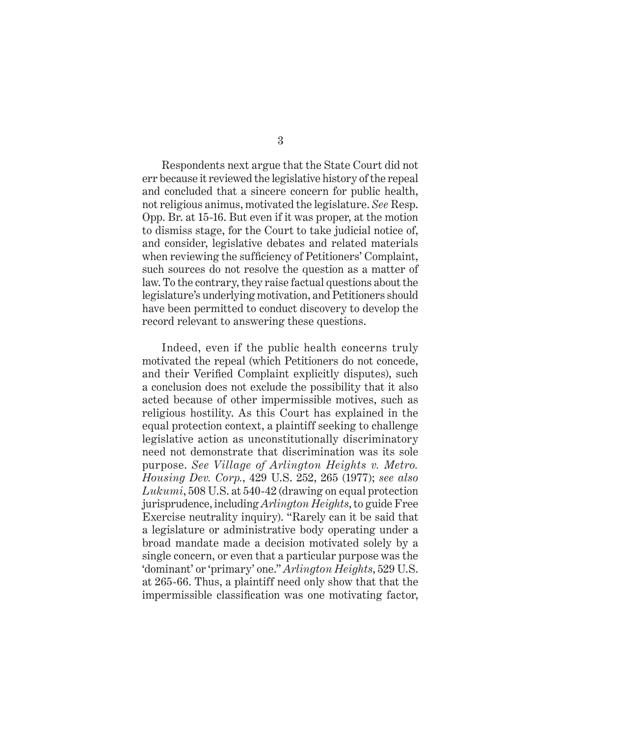Respondents next argue that the State Court did not err because it reviewed the legislative history of the repeal and concluded that a sincere concern for public health, not religious animus, motivated the legislature. *See* Resp. Opp. Br. at 15-16. But even if it was proper, at the motion to dismiss stage, for the Court to take judicial notice of, and consider, legislative debates and related materials when reviewing the sufficiency of Petitioners' Complaint, such sources do not resolve the question as a matter of law. To the contrary, they raise factual questions about the legislature's underlying motivation, and Petitioners should have been permitted to conduct discovery to develop the record relevant to answering these questions.

Indeed, even if the public health concerns truly motivated the repeal (which Petitioners do not concede, and their Verified Complaint explicitly disputes), such a conclusion does not exclude the possibility that it also acted because of other impermissible motives, such as religious hostility. As this Court has explained in the equal protection context, a plaintiff seeking to challenge legislative action as unconstitutionally discriminatory need not demonstrate that discrimination was its sole purpose. *See Village of Arlington Heights v. Metro. Housing Dev. Corp.*, 429 U.S. 252, 265 (1977); *see also Lukumi*, 508 U.S. at 540-42 (drawing on equal protection jurisprudence, including *Arlington Heights*, to guide Free Exercise neutrality inquiry). "Rarely can it be said that a legislature or administrative body operating under a broad mandate made a decision motivated solely by a single concern, or even that a particular purpose was the 'dominant' or 'primary' one." *Arlington Heights*, 529 U.S. at 265-66. Thus, a plaintiff need only show that that the impermissible classification was one motivating factor,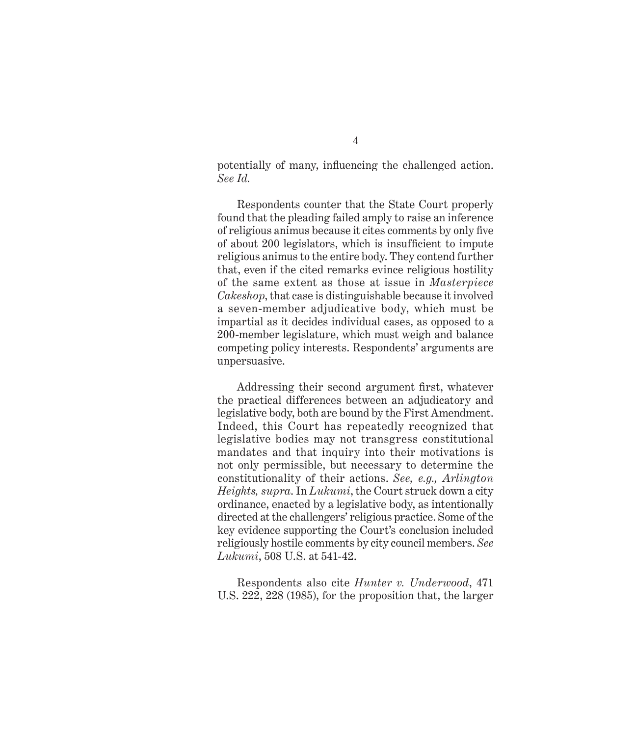potentially of many, influencing the challenged action. *See Id.*

Respondents counter that the State Court properly found that the pleading failed amply to raise an inference of religious animus because it cites comments by only five of about 200 legislators, which is insufficient to impute religious animus to the entire body. They contend further that, even if the cited remarks evince religious hostility of the same extent as those at issue in *Masterpiece Cakeshop*, that case is distinguishable because it involved a seven-member adjudicative body, which must be impartial as it decides individual cases, as opposed to a 200-member legislature, which must weigh and balance competing policy interests. Respondents' arguments are unpersuasive.

Addressing their second argument first, whatever the practical differences between an adjudicatory and legislative body, both are bound by the First Amendment. Indeed, this Court has repeatedly recognized that legislative bodies may not transgress constitutional mandates and that inquiry into their motivations is not only permissible, but necessary to determine the constitutionality of their actions. *See, e.g., Arlington Heights, supra*. In *Lukumi*, the Court struck down a city ordinance, enacted by a legislative body, as intentionally directed at the challengers' religious practice. Some of the key evidence supporting the Court's conclusion included religiously hostile comments by city council members. *See Lukumi*, 508 U.S. at 541-42.

Respondents also cite *Hunter v. Underwood*, 471 U.S. 222, 228 (1985), for the proposition that, the larger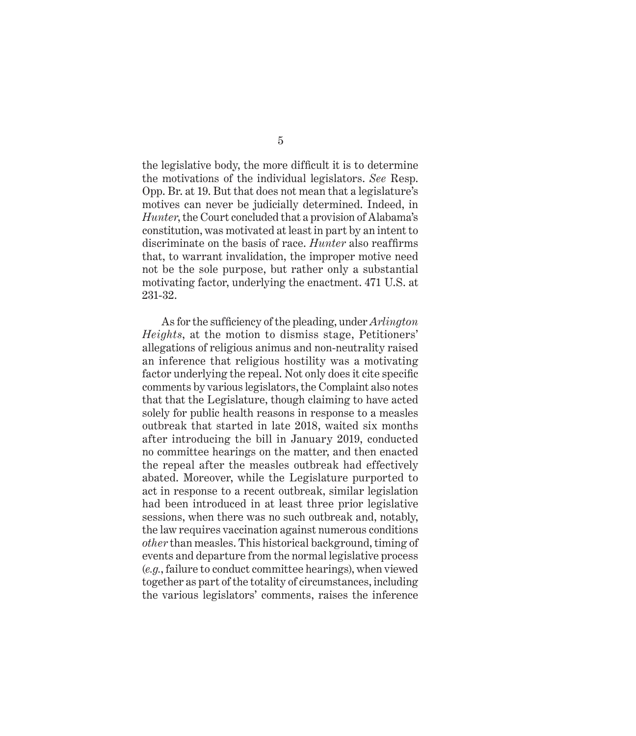the legislative body, the more difficult it is to determine the motivations of the individual legislators. *See* Resp. Opp. Br. at 19. But that does not mean that a legislature's motives can never be judicially determined. Indeed, in *Hunter*, the Court concluded that a provision of Alabama's constitution, was motivated at least in part by an intent to discriminate on the basis of race. *Hunter* also reaffirms that, to warrant invalidation, the improper motive need not be the sole purpose, but rather only a substantial motivating factor, underlying the enactment. 471 U.S. at 231-32.

As for the sufficiency of the pleading, under *Arlington Heights*, at the motion to dismiss stage, Petitioners' allegations of religious animus and non-neutrality raised an inference that religious hostility was a motivating factor underlying the repeal. Not only does it cite specific comments by various legislators, the Complaint also notes that that the Legislature, though claiming to have acted solely for public health reasons in response to a measles outbreak that started in late 2018, waited six months after introducing the bill in January 2019, conducted no committee hearings on the matter, and then enacted the repeal after the measles outbreak had effectively abated. Moreover, while the Legislature purported to act in response to a recent outbreak, similar legislation had been introduced in at least three prior legislative sessions, when there was no such outbreak and, notably, the law requires vaccination against numerous conditions *other* than measles. This historical background, timing of events and departure from the normal legislative process (*e.g.*, failure to conduct committee hearings), when viewed together as part of the totality of circumstances, including the various legislators' comments, raises the inference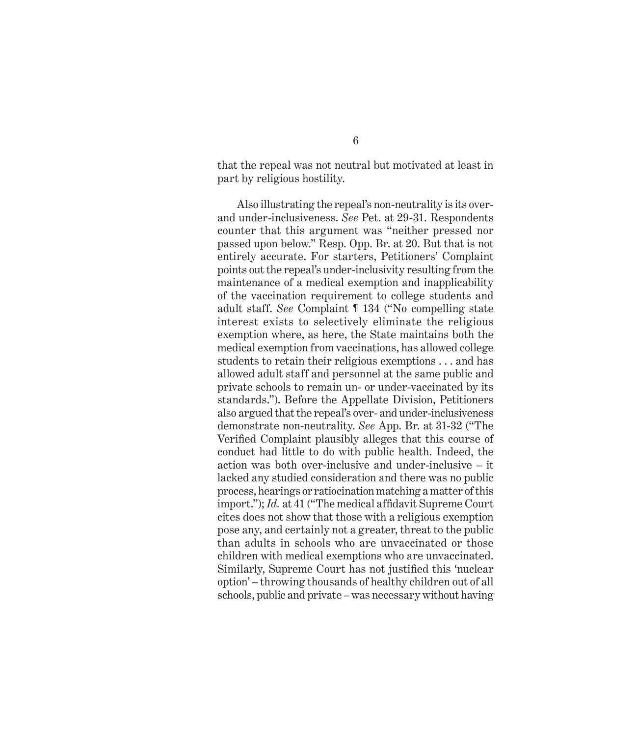that the repeal was not neutral but motivated at least in part by religious hostility.

Also illustrating the repeal's non-neutrality is its overand under-inclusiveness. *See* Pet. at 29-31. Respondents counter that this argument was "neither pressed nor passed upon below." Resp. Opp. Br. at 20. But that is not entirely accurate. For starters, Petitioners' Complaint points out the repeal's under-inclusivity resulting from the maintenance of a medical exemption and inapplicability of the vaccination requirement to college students and adult staff. *See* Complaint ¶ 134 ("No compelling state interest exists to selectively eliminate the religious exemption where, as here, the State maintains both the medical exemption from vaccinations, has allowed college students to retain their religious exemptions . . . and has allowed adult staff and personnel at the same public and private schools to remain un- or under-vaccinated by its standards."). Before the Appellate Division, Petitioners also argued that the repeal's over- and under-inclusiveness demonstrate non-neutrality. *See* App. Br. at 31-32 ("The Verified Complaint plausibly alleges that this course of conduct had little to do with public health. Indeed, the action was both over-inclusive and under-inclusive – it lacked any studied consideration and there was no public process, hearings or ratiocination matching a matter of this import."); *Id.* at 41 ("The medical affidavit Supreme Court cites does not show that those with a religious exemption pose any, and certainly not a greater, threat to the public than adults in schools who are unvaccinated or those children with medical exemptions who are unvaccinated. Similarly, Supreme Court has not justified this 'nuclear option' – throwing thousands of healthy children out of all schools, public and private – was necessary without having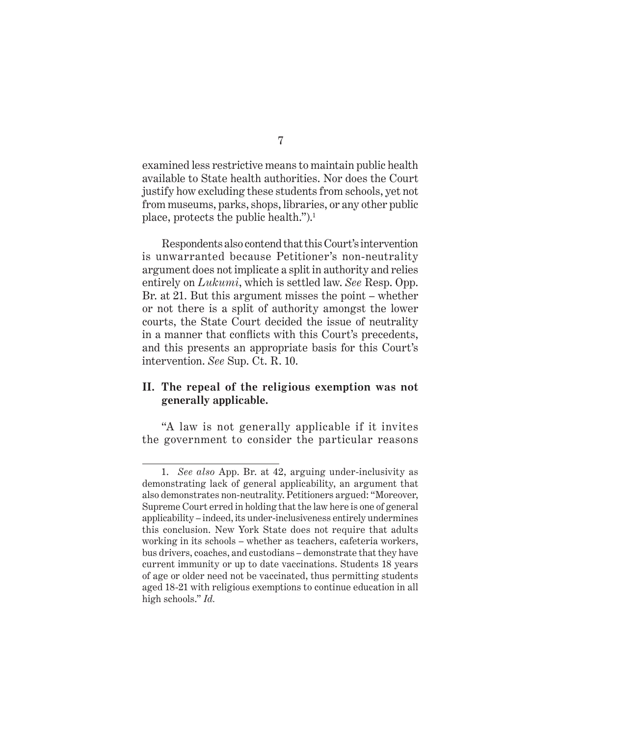examined less restrictive means to maintain public health available to State health authorities. Nor does the Court justify how excluding these students from schools, yet not from museums, parks, shops, libraries, or any other public place, protects the public health.").1

Respondents also contend that this Court's intervention is unwarranted because Petitioner's non-neutrality argument does not implicate a split in authority and relies entirely on *Lukumi*, which is settled law. *See* Resp. Opp. Br. at 21. But this argument misses the point – whether or not there is a split of authority amongst the lower courts, the State Court decided the issue of neutrality in a manner that conflicts with this Court's precedents, and this presents an appropriate basis for this Court's intervention. *See* Sup. Ct. R. 10.

#### **II. The repeal of the religious exemption was not generally applicable.**

"A law is not generally applicable if it invites the government to consider the particular reasons

<sup>1.</sup> *See also* App. Br. at 42, arguing under-inclusivity as demonstrating lack of general applicability, an argument that also demonstrates non-neutrality. Petitioners argued: "Moreover, Supreme Court erred in holding that the law here is one of general applicability – indeed, its under-inclusiveness entirely undermines this conclusion. New York State does not require that adults working in its schools – whether as teachers, cafeteria workers, bus drivers, coaches, and custodians – demonstrate that they have current immunity or up to date vaccinations. Students 18 years of age or older need not be vaccinated, thus permitting students aged 18-21 with religious exemptions to continue education in all high schools." *Id.*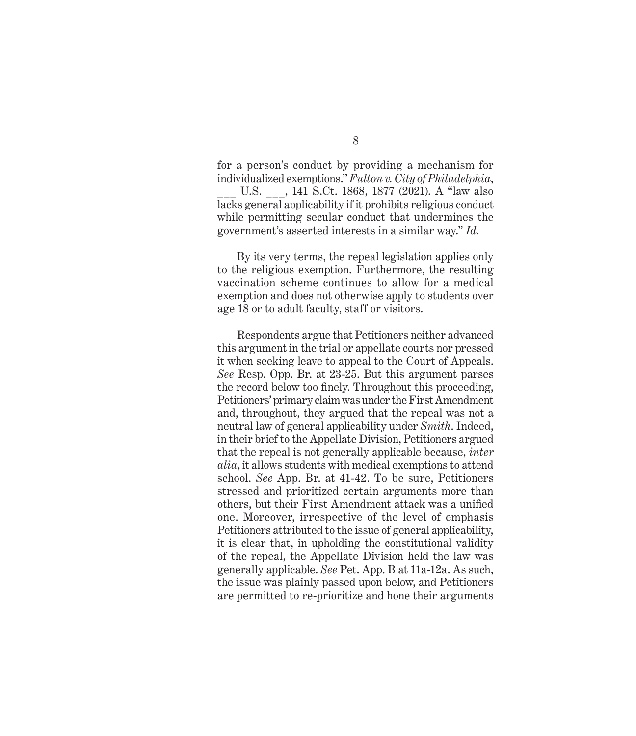for a person's conduct by providing a mechanism for individualized exemptions." *Fulton v. City of Philadelphia*, \_\_\_ U.S. \_\_\_, 141 S.Ct. 1868, 1877 (2021). A "law also lacks general applicability if it prohibits religious conduct while permitting secular conduct that undermines the government's asserted interests in a similar way." *Id.*

By its very terms, the repeal legislation applies only to the religious exemption. Furthermore, the resulting vaccination scheme continues to allow for a medical exemption and does not otherwise apply to students over age 18 or to adult faculty, staff or visitors.

Respondents argue that Petitioners neither advanced this argument in the trial or appellate courts nor pressed it when seeking leave to appeal to the Court of Appeals. *See* Resp. Opp. Br. at 23-25. But this argument parses the record below too finely. Throughout this proceeding, Petitioners' primary claim was under the First Amendment and, throughout, they argued that the repeal was not a neutral law of general applicability under *Smith*. Indeed, in their brief to the Appellate Division, Petitioners argued that the repeal is not generally applicable because, *inter alia*, it allows students with medical exemptions to attend school. *See* App. Br. at 41-42. To be sure, Petitioners stressed and prioritized certain arguments more than others, but their First Amendment attack was a unified one. Moreover, irrespective of the level of emphasis Petitioners attributed to the issue of general applicability, it is clear that, in upholding the constitutional validity of the repeal, the Appellate Division held the law was generally applicable. *See* Pet. App. B at 11a-12a. As such, the issue was plainly passed upon below, and Petitioners are permitted to re-prioritize and hone their arguments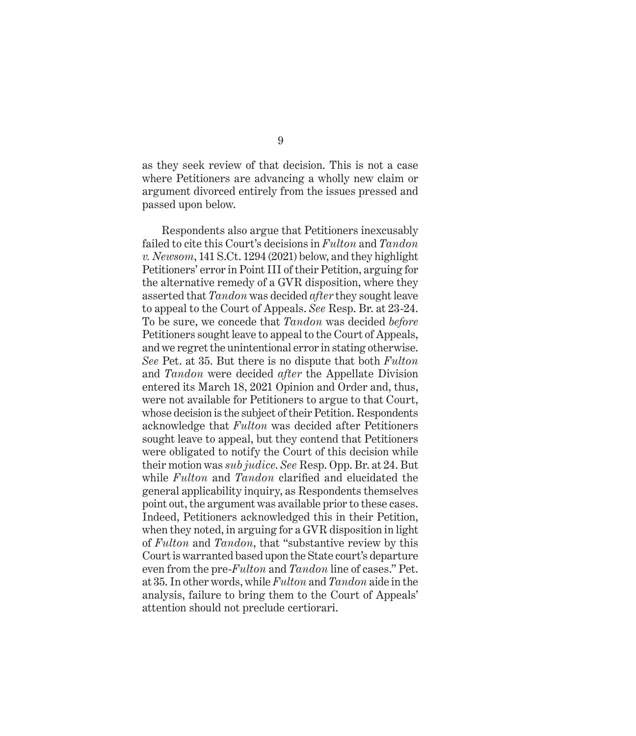as they seek review of that decision. This is not a case where Petitioners are advancing a wholly new claim or argument divorced entirely from the issues pressed and passed upon below.

Respondents also argue that Petitioners inexcusably failed to cite this Court's decisions in *Fulton* and *Tandon v. Newsom*, 141 S.Ct. 1294 (2021) below, and they highlight Petitioners' error in Point III of their Petition, arguing for the alternative remedy of a GVR disposition, where they asserted that *Tandon* was decided *after* they sought leave to appeal to the Court of Appeals. *See* Resp. Br. at 23-24. To be sure, we concede that *Tandon* was decided *before* Petitioners sought leave to appeal to the Court of Appeals, and we regret the unintentional error in stating otherwise. *See* Pet. at 35. But there is no dispute that both *Fulton* and *Tandon* were decided *after* the Appellate Division entered its March 18, 2021 Opinion and Order and, thus, were not available for Petitioners to argue to that Court, whose decision is the subject of their Petition. Respondents acknowledge that *Fulton* was decided after Petitioners sought leave to appeal, but they contend that Petitioners were obligated to notify the Court of this decision while their motion was *sub judice*. *See* Resp. Opp. Br. at 24. But while *Fulton* and *Tandon* clarified and elucidated the general applicability inquiry, as Respondents themselves point out, the argument was available prior to these cases. Indeed, Petitioners acknowledged this in their Petition, when they noted, in arguing for a GVR disposition in light of *Fulton* and *Tandon*, that "substantive review by this Court is warranted based upon the State court's departure even from the pre-*Fulton* and *Tandon* line of cases." Pet. at 35. In other words, while *Fulton* and *Tandon* aide in the analysis, failure to bring them to the Court of Appeals' attention should not preclude certiorari.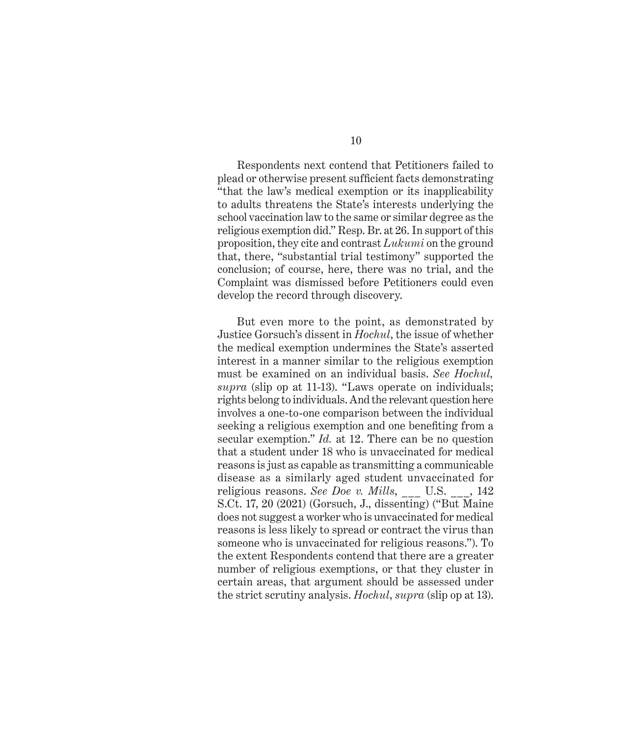Respondents next contend that Petitioners failed to plead or otherwise present sufficient facts demonstrating "that the law's medical exemption or its inapplicability to adults threatens the State's interests underlying the school vaccination law to the same or similar degree as the religious exemption did." Resp. Br. at 26. In support of this proposition, they cite and contrast *Lukumi* on the ground that, there, "substantial trial testimony" supported the conclusion; of course, here, there was no trial, and the Complaint was dismissed before Petitioners could even develop the record through discovery.

But even more to the point, as demonstrated by Justice Gorsuch's dissent in *Hochul*, the issue of whether the medical exemption undermines the State's asserted interest in a manner similar to the religious exemption must be examined on an individual basis. *See Hochul, supra* (slip op at 11-13). "Laws operate on individuals; rights belong to individuals. And the relevant question here involves a one-to-one comparison between the individual seeking a religious exemption and one benefiting from a secular exemption." *Id.* at 12. There can be no question that a student under 18 who is unvaccinated for medical reasons is just as capable as transmitting a communicable disease as a similarly aged student unvaccinated for religious reasons. *See Doe v. Mills*, \_\_\_ U.S. \_\_\_, 142 S.Ct. 17, 20 (2021) (Gorsuch, J., dissenting) ("But Maine does not suggest a worker who is unvaccinated for medical reasons is less likely to spread or contract the virus than someone who is unvaccinated for religious reasons."). To the extent Respondents contend that there are a greater number of religious exemptions, or that they cluster in certain areas, that argument should be assessed under the strict scrutiny analysis. *Hochul*, *supra* (slip op at 13).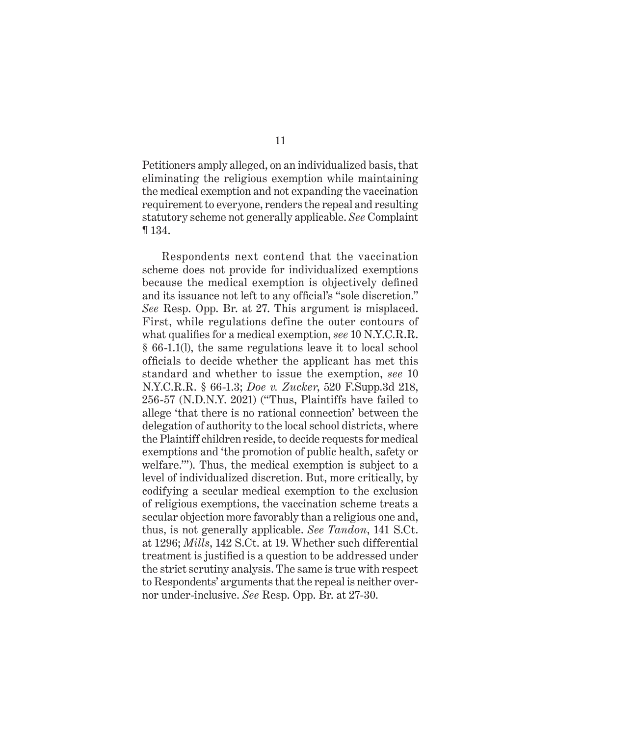Petitioners amply alleged, on an individualized basis, that eliminating the religious exemption while maintaining the medical exemption and not expanding the vaccination requirement to everyone, renders the repeal and resulting statutory scheme not generally applicable. *See* Complaint ¶ 134.

Respondents next contend that the vaccination scheme does not provide for individualized exemptions because the medical exemption is objectively defined and its issuance not left to any official's "sole discretion." *See* Resp. Opp. Br. at 27. This argument is misplaced. First, while regulations define the outer contours of what qualifies for a medical exemption, *see* 10 N.Y.C.R.R. § 66-1.1(l), the same regulations leave it to local school officials to decide whether the applicant has met this standard and whether to issue the exemption, *see* 10 N.Y.C.R.R. § 66-1.3; *Doe v. Zucker*, 520 F.Supp.3d 218, 256-57 (N.D.N.Y. 2021) ("Thus, Plaintiffs have failed to allege 'that there is no rational connection' between the delegation of authority to the local school districts, where the Plaintiff children reside, to decide requests for medical exemptions and 'the promotion of public health, safety or welfare.'"). Thus, the medical exemption is subject to a level of individualized discretion. But, more critically, by codifying a secular medical exemption to the exclusion of religious exemptions, the vaccination scheme treats a secular objection more favorably than a religious one and, thus, is not generally applicable. *See Tandon*, 141 S.Ct. at 1296; *Mills*, 142 S.Ct. at 19. Whether such differential treatment is justified is a question to be addressed under the strict scrutiny analysis. The same is true with respect to Respondents' arguments that the repeal is neither overnor under-inclusive. *See* Resp. Opp. Br. at 27-30.